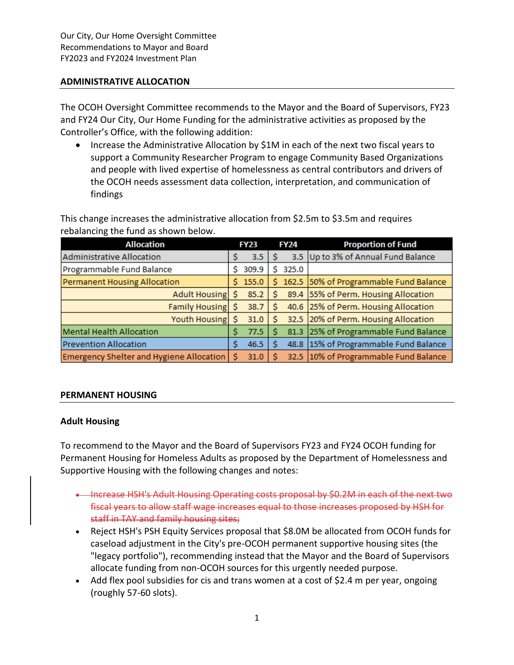### **ADMINISTRATIVE ALLOCATION**

The OCOH Oversight Committee recommends to the Mayor and the Board of Supervisors, FY23 and FY24 Our City, Our Home Funding for the administrative activities as proposed by the Controller's Office, with the following addition:

• Increase the Administrative Allocation by \$1M in each of the next two fiscal years to support a Community Researcher Program to engage Community Based Organizations and people with lived expertise of homelessness as central contributors and drivers of the OCOH needs assessment data collection, interpretation, and communication of findings

This change increases the administrative allocation from \$2.5m to \$3.5m and requires rebalancing the fund as shown below.

| <b>Allocation</b>                        | <b>FY23</b> |       | <b>FY24</b> |       | <b>Proportion of Fund</b>              |
|------------------------------------------|-------------|-------|-------------|-------|----------------------------------------|
| Administrative Allocation                |             | 3.5   |             |       | 3.5 Up to 3% of Annual Fund Balance    |
| Programmable Fund Balance                | s           | 309.9 |             | 325.0 |                                        |
| Permanent Housing Allocation             | S           | 155.0 | Ŝ.          |       | 162.5 50% of Programmable Fund Balance |
| Adult Housing                            |             | 85.2  |             |       | 89.4 55% of Perm. Housing Allocation   |
| <b>Family Housing</b>                    |             | 38.7  |             |       | 40.6 25% of Perm. Housing Allocation   |
| Youth Housing                            |             | 31.0  |             |       | 32.5 20% of Perm. Housing Allocation   |
| <b>Mental Health Allocation</b>          |             | 77.5  |             |       | 81.3 25% of Programmable Fund Balance  |
| <b>Prevention Allocation</b>             |             | 46.5  |             |       | 48.8 15% of Programmable Fund Balance  |
| Emergency Shelter and Hygiene Allocation |             | 31.0  |             |       | 32.5 10% of Programmable Fund Balance  |

## **PERMANENT HOUSING**

## **Adult Housing**

To recommend to the Mayor and the Board of Supervisors FY23 and FY24 OCOH funding for Permanent Housing for Homeless Adults as proposed by the Department of Homelessness and Supportive Housing with the following changes and notes:

- Increase HSH's Adult Housing Operating costs proposal by \$0.2M in each of the next two fiscal years to allow staff wage increases equal to those increases proposed by HSH for staff in TAY and family housing sites;
- Reject HSH's PSH Equity Services proposal that \$8.0M be allocated from OCOH funds for caseload adjustment in the City's pre-OCOH permanent supportive housing sites (the "legacy portfolio"), recommending instead that the Mayor and the Board of Supervisors allocate funding from non-OCOH sources for this urgently needed purpose.
- Add flex pool subsidies for cis and trans women at a cost of \$2.4 m per year, ongoing (roughly 57-60 slots).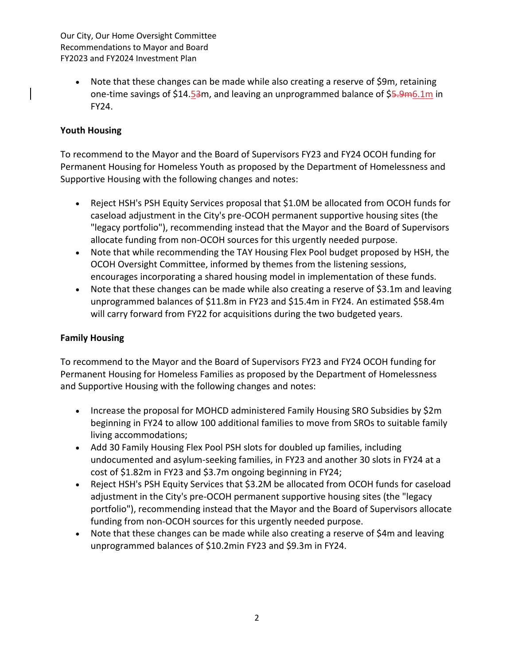Our City, Our Home Oversight Committee Recommendations to Mayor and Board FY2023 and FY2024 Investment Plan

• Note that these changes can be made while also creating a reserve of \$9m, retaining one-time savings of \$14.53m, and leaving an unprogrammed balance of \$5.9m6.1m in FY24.

## **Youth Housing**

To recommend to the Mayor and the Board of Supervisors FY23 and FY24 OCOH funding for Permanent Housing for Homeless Youth as proposed by the Department of Homelessness and Supportive Housing with the following changes and notes:

- Reject HSH's PSH Equity Services proposal that \$1.0M be allocated from OCOH funds for caseload adjustment in the City's pre-OCOH permanent supportive housing sites (the "legacy portfolio"), recommending instead that the Mayor and the Board of Supervisors allocate funding from non-OCOH sources for this urgently needed purpose.
- Note that while recommending the TAY Housing Flex Pool budget proposed by HSH, the OCOH Oversight Committee, informed by themes from the listening sessions, encourages incorporating a shared housing model in implementation of these funds.
- Note that these changes can be made while also creating a reserve of \$3.1m and leaving unprogrammed balances of \$11.8m in FY23 and \$15.4m in FY24. An estimated \$58.4m will carry forward from FY22 for acquisitions during the two budgeted years.

# **Family Housing**

To recommend to the Mayor and the Board of Supervisors FY23 and FY24 OCOH funding for Permanent Housing for Homeless Families as proposed by the Department of Homelessness and Supportive Housing with the following changes and notes:

- Increase the proposal for MOHCD administered Family Housing SRO Subsidies by \$2m beginning in FY24 to allow 100 additional families to move from SROs to suitable family living accommodations;
- Add 30 Family Housing Flex Pool PSH slots for doubled up families, including undocumented and asylum-seeking families, in FY23 and another 30 slots in FY24 at a cost of \$1.82m in FY23 and \$3.7m ongoing beginning in FY24;
- Reject HSH's PSH Equity Services that \$3.2M be allocated from OCOH funds for caseload adjustment in the City's pre-OCOH permanent supportive housing sites (the "legacy portfolio"), recommending instead that the Mayor and the Board of Supervisors allocate funding from non-OCOH sources for this urgently needed purpose.
- Note that these changes can be made while also creating a reserve of \$4m and leaving unprogrammed balances of \$10.2min FY23 and \$9.3m in FY24.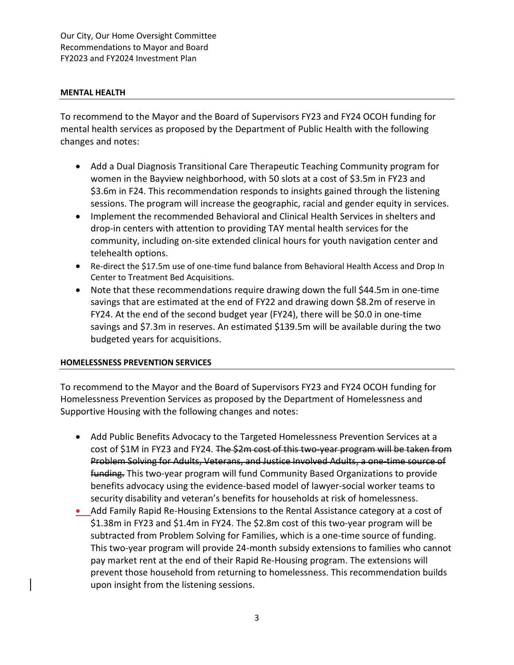Our City, Our Home Oversight Committee Recommendations to Mayor and Board FY2023 and FY2024 Investment Plan

### **MENTAL HEALTH**

To recommend to the Mayor and the Board of Supervisors FY23 and FY24 OCOH funding for mental health services as proposed by the Department of Public Health with the following changes and notes:

- Add a Dual Diagnosis Transitional Care Therapeutic Teaching Community program for women in the Bayview neighborhood, with 50 slots at a cost of \$3.5m in FY23 and \$3.6m in F24. This recommendation responds to insights gained through the listening sessions. The program will increase the geographic, racial and gender equity in services.
- Implement the recommended Behavioral and Clinical Health Services in shelters and drop-in centers with attention to providing TAY mental health services for the community, including on-site extended clinical hours for youth navigation center and telehealth options.
- Re-direct the \$17.5m use of one-time fund balance from Behavioral Health Access and Drop In Center to Treatment Bed Acquisitions.
- Note that these recommendations require drawing down the full \$44.5m in one-time savings that are estimated at the end of FY22 and drawing down \$8.2m of reserve in FY24. At the end of the second budget year (FY24), there will be \$0.0 in one-time savings and \$7.3m in reserves. An estimated \$139.5m will be available during the two budgeted years for acquisitions.

## **HOMELESSNESS PREVENTION SERVICES**

To recommend to the Mayor and the Board of Supervisors FY23 and FY24 OCOH funding for Homelessness Prevention Services as proposed by the Department of Homelessness and Supportive Housing with the following changes and notes:

- Add Public Benefits Advocacy to the Targeted Homelessness Prevention Services at a cost of \$1M in FY23 and FY24. The \$2m cost of this two-year program will be taken from Problem Solving for Adults, Veterans, and Justice Involved Adults, a one-time source of funding. This two-year program will fund Community Based Organizations to provide benefits advocacy using the evidence-based model of lawyer-social worker teams to security disability and veteran's benefits for households at risk of homelessness.
- Add Family Rapid Re-Housing Extensions to the Rental Assistance category at a cost of \$1.38m in FY23 and \$1.4m in FY24. The \$2.8m cost of this two-year program will be subtracted from Problem Solving for Families, which is a one-time source of funding. This two-year program will provide 24-month subsidy extensions to families who cannot pay market rent at the end of their Rapid Re-Housing program. The extensions will prevent those household from returning to homelessness. This recommendation builds upon insight from the listening sessions.